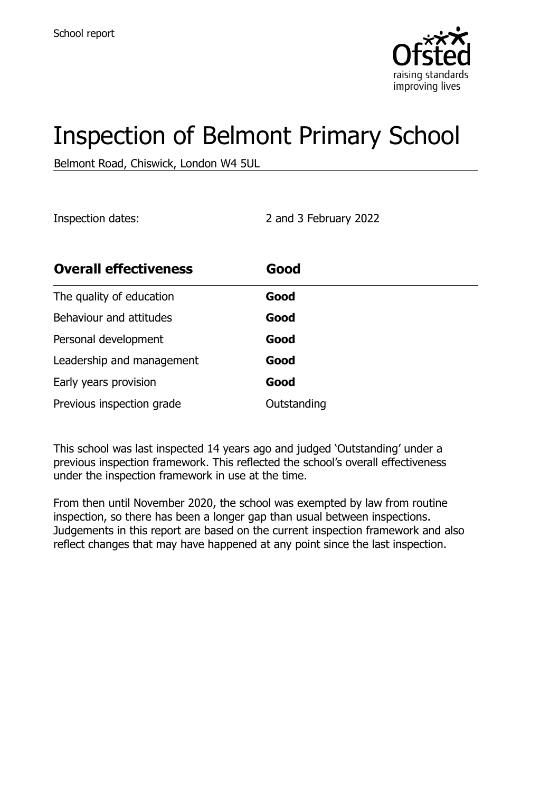

# Inspection of Belmont Primary School

Belmont Road, Chiswick, London W4 5UL

Inspection dates: 2 and 3 February 2022

| <b>Overall effectiveness</b> | Good        |
|------------------------------|-------------|
| The quality of education     | Good        |
| Behaviour and attitudes      | Good        |
| Personal development         | Good        |
| Leadership and management    | Good        |
| Early years provision        | Good        |
| Previous inspection grade    | Outstanding |

This school was last inspected 14 years ago and judged 'Outstanding' under a previous inspection framework. This reflected the school's overall effectiveness under the inspection framework in use at the time.

From then until November 2020, the school was exempted by law from routine inspection, so there has been a longer gap than usual between inspections. Judgements in this report are based on the current inspection framework and also reflect changes that may have happened at any point since the last inspection.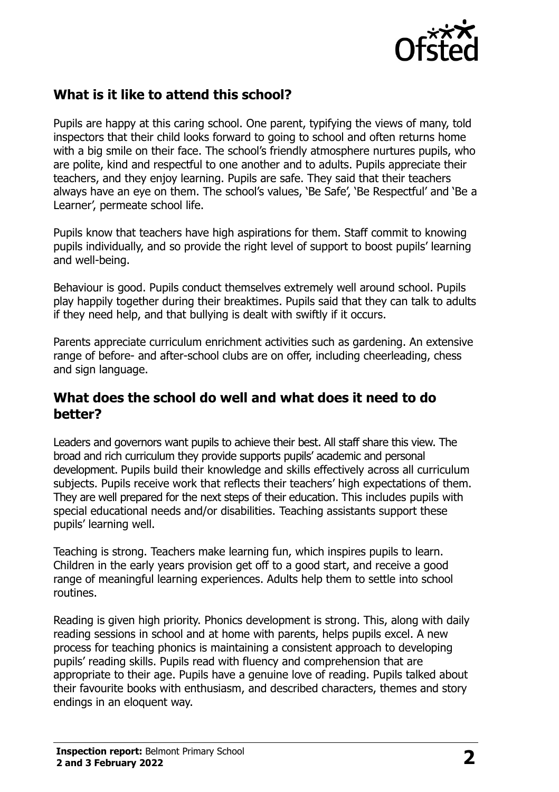

#### **What is it like to attend this school?**

Pupils are happy at this caring school. One parent, typifying the views of many, told inspectors that their child looks forward to going to school and often returns home with a big smile on their face. The school's friendly atmosphere nurtures pupils, who are polite, kind and respectful to one another and to adults. Pupils appreciate their teachers, and they enjoy learning. Pupils are safe. They said that their teachers always have an eye on them. The school's values, 'Be Safe', 'Be Respectful' and 'Be a Learner', permeate school life.

Pupils know that teachers have high aspirations for them. Staff commit to knowing pupils individually, and so provide the right level of support to boost pupils' learning and well-being.

Behaviour is good. Pupils conduct themselves extremely well around school. Pupils play happily together during their breaktimes. Pupils said that they can talk to adults if they need help, and that bullying is dealt with swiftly if it occurs.

Parents appreciate curriculum enrichment activities such as gardening. An extensive range of before- and after-school clubs are on offer, including cheerleading, chess and sign language.

#### **What does the school do well and what does it need to do better?**

Leaders and governors want pupils to achieve their best. All staff share this view. The broad and rich curriculum they provide supports pupils' academic and personal development. Pupils build their knowledge and skills effectively across all curriculum subjects. Pupils receive work that reflects their teachers' high expectations of them. They are well prepared for the next steps of their education. This includes pupils with special educational needs and/or disabilities. Teaching assistants support these pupils' learning well.

Teaching is strong. Teachers make learning fun, which inspires pupils to learn. Children in the early years provision get off to a good start, and receive a good range of meaningful learning experiences. Adults help them to settle into school routines.

Reading is given high priority. Phonics development is strong. This, along with daily reading sessions in school and at home with parents, helps pupils excel. A new process for teaching phonics is maintaining a consistent approach to developing pupils' reading skills. Pupils read with fluency and comprehension that are appropriate to their age. Pupils have a genuine love of reading. Pupils talked about their favourite books with enthusiasm, and described characters, themes and story endings in an eloquent way.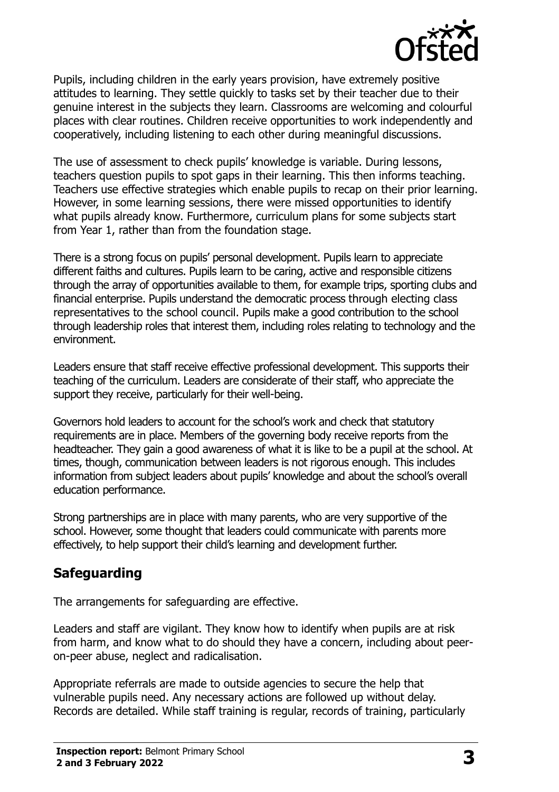

Pupils, including children in the early years provision, have extremely positive attitudes to learning. They settle quickly to tasks set by their teacher due to their genuine interest in the subjects they learn. Classrooms are welcoming and colourful places with clear routines. Children receive opportunities to work independently and cooperatively, including listening to each other during meaningful discussions.

The use of assessment to check pupils' knowledge is variable. During lessons, teachers question pupils to spot gaps in their learning. This then informs teaching. Teachers use effective strategies which enable pupils to recap on their prior learning. However, in some learning sessions, there were missed opportunities to identify what pupils already know. Furthermore, curriculum plans for some subjects start from Year 1, rather than from the foundation stage.

There is a strong focus on pupils' personal development. Pupils learn to appreciate different faiths and cultures. Pupils learn to be caring, active and responsible citizens through the array of opportunities available to them, for example trips, sporting clubs and financial enterprise. Pupils understand the democratic process through electing class representatives to the school council. Pupils make a good contribution to the school through leadership roles that interest them, including roles relating to technology and the environment.

Leaders ensure that staff receive effective professional development. This supports their teaching of the curriculum. Leaders are considerate of their staff, who appreciate the support they receive, particularly for their well-being.

Governors hold leaders to account for the school's work and check that statutory requirements are in place. Members of the governing body receive reports from the headteacher. They gain a good awareness of what it is like to be a pupil at the school. At times, though, communication between leaders is not rigorous enough. This includes information from subject leaders about pupils' knowledge and about the school's overall education performance.

Strong partnerships are in place with many parents, who are very supportive of the school. However, some thought that leaders could communicate with parents more effectively, to help support their child's learning and development further.

# **Safeguarding**

The arrangements for safeguarding are effective.

Leaders and staff are vigilant. They know how to identify when pupils are at risk from harm, and know what to do should they have a concern, including about peeron-peer abuse, neglect and radicalisation.

Appropriate referrals are made to outside agencies to secure the help that vulnerable pupils need. Any necessary actions are followed up without delay. Records are detailed. While staff training is regular, records of training, particularly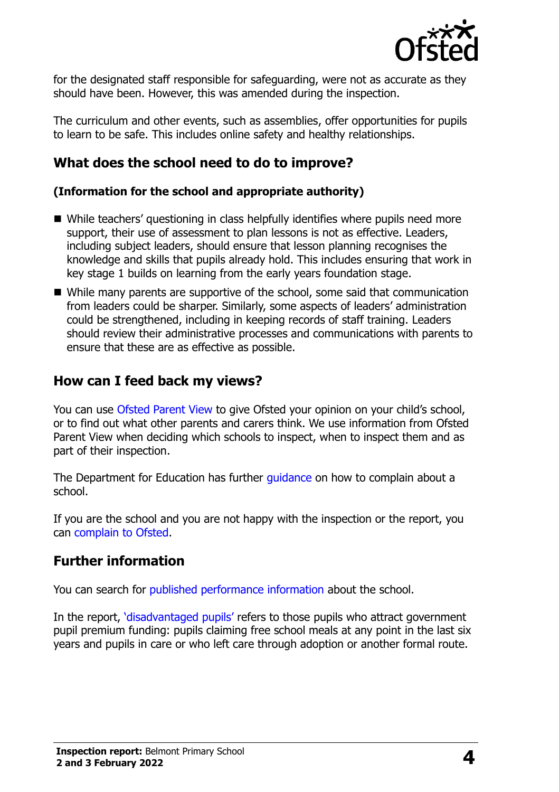

for the designated staff responsible for safeguarding, were not as accurate as they should have been. However, this was amended during the inspection.

The curriculum and other events, such as assemblies, offer opportunities for pupils to learn to be safe. This includes online safety and healthy relationships.

#### **What does the school need to do to improve?**

#### **(Information for the school and appropriate authority)**

- While teachers' questioning in class helpfully identifies where pupils need more support, their use of assessment to plan lessons is not as effective. Leaders, including subject leaders, should ensure that lesson planning recognises the knowledge and skills that pupils already hold. This includes ensuring that work in key stage 1 builds on learning from the early years foundation stage.
- While many parents are supportive of the school, some said that communication from leaders could be sharper. Similarly, some aspects of leaders' administration could be strengthened, including in keeping records of staff training. Leaders should review their administrative processes and communications with parents to ensure that these are as effective as possible.

#### **How can I feed back my views?**

You can use [Ofsted Parent View](http://parentview.ofsted.gov.uk/) to give Ofsted your opinion on your child's school, or to find out what other parents and carers think. We use information from Ofsted Parent View when deciding which schools to inspect, when to inspect them and as part of their inspection.

The Department for Education has further quidance on how to complain about a school.

If you are the school and you are not happy with the inspection or the report, you can [complain to Ofsted.](http://www.gov.uk/complain-ofsted-report)

#### **Further information**

You can search for [published performance information](http://www.compare-school-performance.service.gov.uk/) about the school.

In the report, '[disadvantaged pupils](http://www.gov.uk/guidance/pupil-premium-information-for-schools-and-alternative-provision-settings)' refers to those pupils who attract government pupil premium funding: pupils claiming free school meals at any point in the last six years and pupils in care or who left care through adoption or another formal route.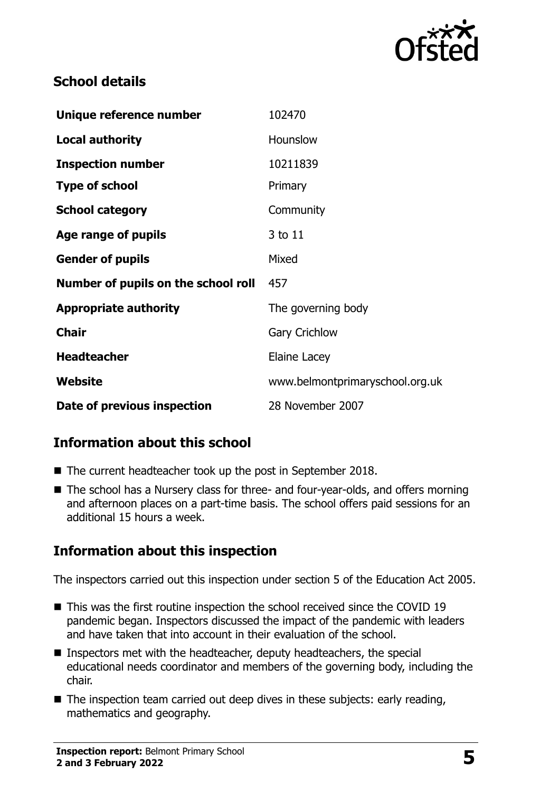

# **School details**

| Unique reference number             | 102470                          |
|-------------------------------------|---------------------------------|
| <b>Local authority</b>              | Hounslow                        |
| <b>Inspection number</b>            | 10211839                        |
| <b>Type of school</b>               | Primary                         |
| <b>School category</b>              | Community                       |
| Age range of pupils                 | 3 to 11                         |
| <b>Gender of pupils</b>             | Mixed                           |
| Number of pupils on the school roll | 457                             |
| <b>Appropriate authority</b>        | The governing body              |
| <b>Chair</b>                        | <b>Gary Crichlow</b>            |
| <b>Headteacher</b>                  | Elaine Lacey                    |
| Website                             | www.belmontprimaryschool.org.uk |
| Date of previous inspection         | 28 November 2007                |

# **Information about this school**

- The current headteacher took up the post in September 2018.
- The school has a Nursery class for three- and four-year-olds, and offers morning and afternoon places on a part-time basis. The school offers paid sessions for an additional 15 hours a week.

# **Information about this inspection**

The inspectors carried out this inspection under section 5 of the Education Act 2005.

- This was the first routine inspection the school received since the COVID 19 pandemic began. Inspectors discussed the impact of the pandemic with leaders and have taken that into account in their evaluation of the school.
- Inspectors met with the headteacher, deputy headteachers, the special educational needs coordinator and members of the governing body, including the chair.
- The inspection team carried out deep dives in these subjects: early reading, mathematics and geography.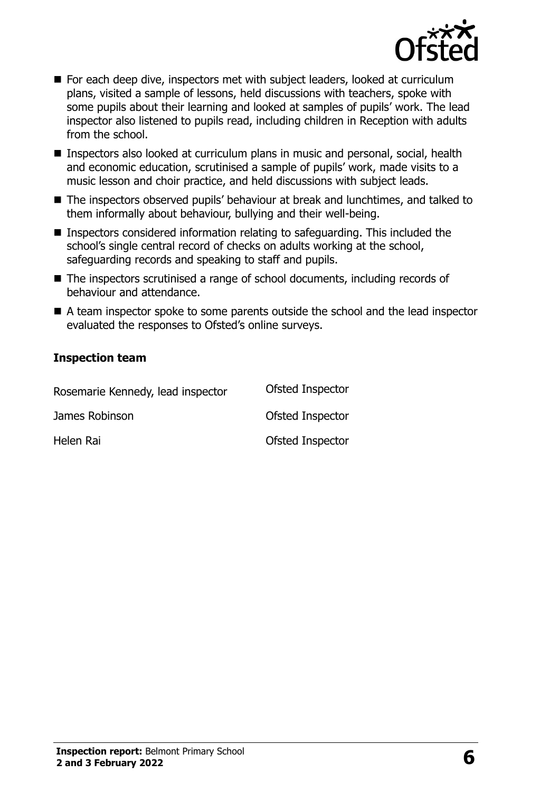

- For each deep dive, inspectors met with subject leaders, looked at curriculum plans, visited a sample of lessons, held discussions with teachers, spoke with some pupils about their learning and looked at samples of pupils' work. The lead inspector also listened to pupils read, including children in Reception with adults from the school.
- Inspectors also looked at curriculum plans in music and personal, social, health and economic education, scrutinised a sample of pupils' work, made visits to a music lesson and choir practice, and held discussions with subject leads.
- The inspectors observed pupils' behaviour at break and lunchtimes, and talked to them informally about behaviour, bullying and their well-being.
- Inspectors considered information relating to safeguarding. This included the school's single central record of checks on adults working at the school, safeguarding records and speaking to staff and pupils.
- The inspectors scrutinised a range of school documents, including records of behaviour and attendance.
- A team inspector spoke to some parents outside the school and the lead inspector evaluated the responses to Ofsted's online surveys.

#### **Inspection team**

| Rosemarie Kennedy, lead inspector | Ofsted Inspector |
|-----------------------------------|------------------|
| James Robinson                    | Ofsted Inspector |
| Helen Rai                         | Ofsted Inspector |